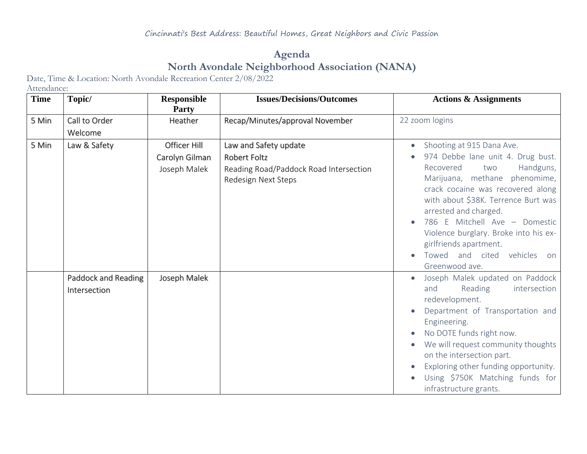## **Agenda North Avondale Neighborhood Association (NANA)**

Date, Time & Location: North Avondale Recreation Center 2/08/2022

Attendance:

| <b>Time</b> | Topic/                              | <b>Responsible</b><br>Party    | <b>Issues/Decisions/Outcomes</b>                                              | <b>Actions &amp; Assignments</b>                                                                                                                                                                                                                                                                                                                              |
|-------------|-------------------------------------|--------------------------------|-------------------------------------------------------------------------------|---------------------------------------------------------------------------------------------------------------------------------------------------------------------------------------------------------------------------------------------------------------------------------------------------------------------------------------------------------------|
| 5 Min       | Call to Order                       | Heather                        | Recap/Minutes/approval November                                               | 22 zoom logins                                                                                                                                                                                                                                                                                                                                                |
|             | Welcome                             |                                |                                                                               |                                                                                                                                                                                                                                                                                                                                                               |
| 5 Min       | Law & Safety                        | Officer Hill                   | Law and Safety update                                                         | Shooting at 915 Dana Ave.                                                                                                                                                                                                                                                                                                                                     |
|             |                                     | Carolyn Gilman<br>Joseph Malek | Robert Foltz<br>Reading Road/Paddock Road Intersection<br>Redesign Next Steps | 974 Debbe lane unit 4. Drug bust.<br>Handguns,<br>Recovered<br>two<br>Marijuana, methane phenomime,<br>crack cocaine was recovered along<br>with about \$38K. Terrence Burt was<br>arrested and charged.<br>786 E Mitchell Ave - Domestic<br>Violence burglary. Broke into his ex-<br>girlfriends apartment.<br>Towed and cited vehicles on<br>Greenwood ave. |
|             | Paddock and Reading<br>Intersection | Joseph Malek                   |                                                                               | Joseph Malek updated on Paddock<br>Reading<br>intersection<br>and<br>redevelopment.<br>Department of Transportation and<br>Engineering.<br>No DOTE funds right now.<br>We will request community thoughts<br>on the intersection part.<br>Exploring other funding opportunity.<br>Using \$750K Matching funds for<br>infrastructure grants.                   |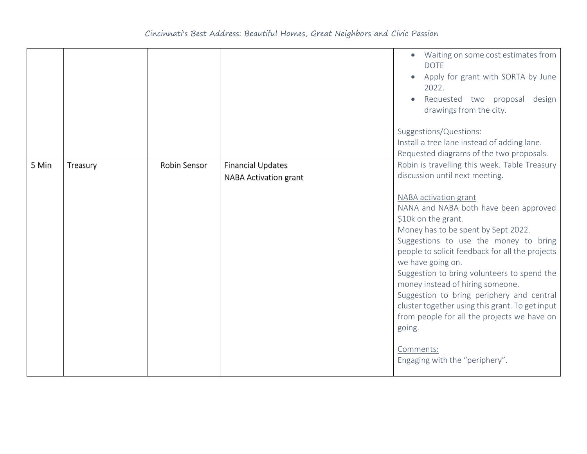|       |          |              |                                                   | Waiting on some cost estimates from<br><b>DOTE</b><br>Apply for grant with SORTA by June<br>2022.<br>Requested two proposal design<br>drawings from the city.<br>Suggestions/Questions:<br>Install a tree lane instead of adding lane.<br>Requested diagrams of the two proposals.                                                                                                                                                                                                                                                                                                                                          |
|-------|----------|--------------|---------------------------------------------------|-----------------------------------------------------------------------------------------------------------------------------------------------------------------------------------------------------------------------------------------------------------------------------------------------------------------------------------------------------------------------------------------------------------------------------------------------------------------------------------------------------------------------------------------------------------------------------------------------------------------------------|
| 5 Min | Treasury | Robin Sensor | <b>Financial Updates</b><br>NABA Activation grant | Robin is travelling this week. Table Treasury<br>discussion until next meeting.<br>NABA activation grant<br>NANA and NABA both have been approved<br>\$10k on the grant.<br>Money has to be spent by Sept 2022.<br>Suggestions to use the money to bring<br>people to solicit feedback for all the projects<br>we have going on.<br>Suggestion to bring volunteers to spend the<br>money instead of hiring someone.<br>Suggestion to bring periphery and central<br>cluster together using this grant. To get input<br>from people for all the projects we have on<br>going.<br>Comments:<br>Engaging with the "periphery". |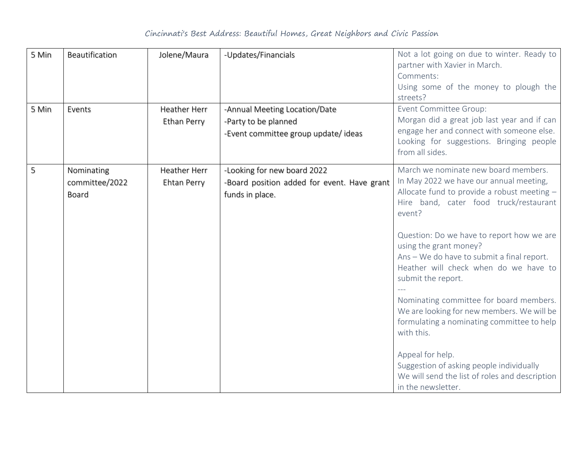## Cincinnati's Best Address: Beautiful Homes, Great Neighbors and Civic Passion

| 5 Min<br>5 Min | Beautification<br>Events              | Jolene/Maura<br>Heather Herr<br>Ethan Perry | -Updates/Financials<br>-Annual Meeting Location/Date<br>-Party to be planned<br>-Event committee group update/ideas | Not a lot going on due to winter. Ready to<br>partner with Xavier in March.<br>Comments:<br>Using some of the money to plough the<br>streets?<br>Event Committee Group:<br>Morgan did a great job last year and if can<br>engage her and connect with someone else.<br>Looking for suggestions. Bringing people<br>from all sides.                                                                                                                                                                                                                                                                                                                                  |
|----------------|---------------------------------------|---------------------------------------------|---------------------------------------------------------------------------------------------------------------------|---------------------------------------------------------------------------------------------------------------------------------------------------------------------------------------------------------------------------------------------------------------------------------------------------------------------------------------------------------------------------------------------------------------------------------------------------------------------------------------------------------------------------------------------------------------------------------------------------------------------------------------------------------------------|
| 5              | Nominating<br>committee/2022<br>Board | Heather Herr<br>Ehtan Perry                 | -Looking for new board 2022<br>-Board position added for event. Have grant<br>funds in place.                       | March we nominate new board members.<br>In May 2022 we have our annual meeting,<br>Allocate fund to provide a robust meeting -<br>Hire band, cater food truck/restaurant<br>event?<br>Question: Do we have to report how we are<br>using the grant money?<br>Ans - We do have to submit a final report.<br>Heather will check when do we have to<br>submit the report.<br>Nominating committee for board members.<br>We are looking for new members. We will be<br>formulating a nominating committee to help<br>with this.<br>Appeal for help.<br>Suggestion of asking people individually<br>We will send the list of roles and description<br>in the newsletter. |